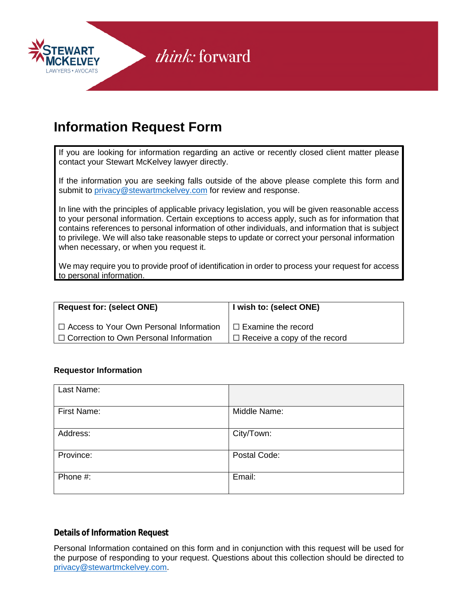

## **Information Request Form**

If you are looking for information regarding an active or recently closed client matter please contact your Stewart McKelvey lawyer directly.

If the information you are seeking falls outside of the above please complete this form and submit to [privacy@stewartmckelvey.com](mailto:privacy@stewartmckelvey.com) for review and response.

In line with the principles of applicable privacy legislation, you will be given reasonable access to your personal information. Certain exceptions to access apply, such as for information that contains references to personal information of other individuals, and information that is subject to privilege. We will also take reasonable steps to update or correct your personal information when necessary, or when you request it.

We may require you to provide proof of identification in order to process your request for access to personal information.

| <b>Request for: (select ONE)</b>               | I wish to: (select ONE)             |
|------------------------------------------------|-------------------------------------|
| $\Box$ Access to Your Own Personal Information | $\Box$ Examine the record           |
| $\Box$ Correction to Own Personal Information  | $\Box$ Receive a copy of the record |

#### **Requestor Information**

| Last Name:  |              |
|-------------|--------------|
| First Name: | Middle Name: |
| Address:    | City/Town:   |
| Province:   | Postal Code: |
| Phone #:    | Email:       |

### **Details of Information Request**

Personal Information contained on this form and in conjunction with this request will be used for the purpose of responding to your request. Questions about this collection should be directed to [privacy@stewartmckelvey.com.](mailto:privacy@stewartmckelvey.com)